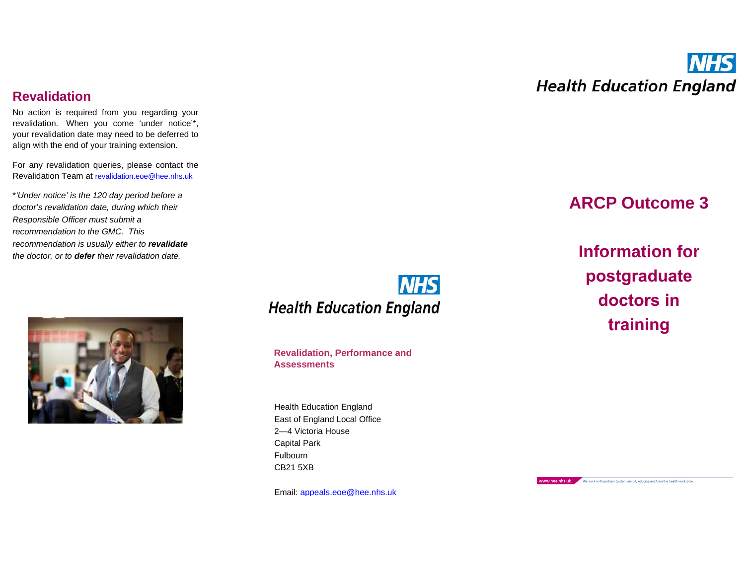## **Revalidation**

No action is required from you regarding your revalidation. When you come 'under notice'\*, your revalidation date may need to be deferred to align with the end of your training extension.

For any revalidation queries, please contact the Revalidation Team at revalidation.eoe@hee.nhs.uk

\**'Under notice' is the 120 day period before a doctor's revalidation date, during which their Responsible Officer must submit a recommendation to the GMC. This recommendation is usually either to revalidate the doctor, or to defer their revalidation date.*



**NHS Health Education England** 

**Revalidation, Performance and Assessments**

Health Education England East of England Local Office 2—4 Victoria House Capital Park Fulbourn CB21 5XB

Email: [appeals.eoe@hee.nhs.u](mailto:appeals.eoe@hee.nhs.)k



# **ARCP Outcome 3**

**Information for postgraduate doctors in training**

www.hee.nhs.uk We work with partners to plan, recruit, educate and train the health workforce.